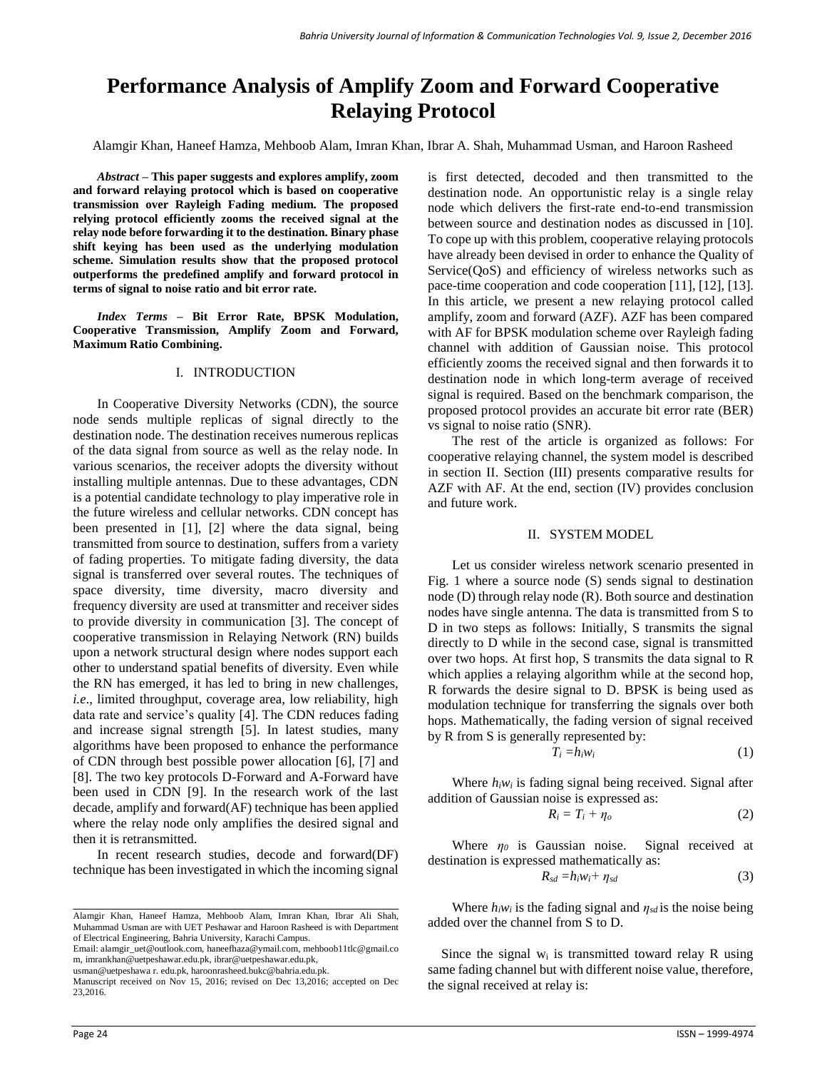# **Performance Analysis of Amplify Zoom and Forward Cooperative Relaying Protocol**

Alamgir Khan, Haneef Hamza, Mehboob Alam, Imran Khan, Ibrar A. Shah, Muhammad Usman, and Haroon Rasheed

*Abstract –* **This paper suggests and explores amplify, zoom and forward relaying protocol which is based on cooperative transmission over Rayleigh Fading medium. The proposed relying protocol efficiently zooms the received signal at the relay node before forwarding it to the destination. Binary phase shift keying has been used as the underlying modulation scheme. Simulation results show that the proposed protocol outperforms the predefined amplify and forward protocol in terms of signal to noise ratio and bit error rate.** 

*Index Terms –* **Bit Error Rate, BPSK Modulation, Cooperative Transmission, Amplify Zoom and Forward, Maximum Ratio Combining.**

## I. INTRODUCTION

In Cooperative Diversity Networks (CDN), the source node sends multiple replicas of signal directly to the destination node. The destination receives numerous replicas of the data signal from source as well as the relay node. In various scenarios, the receiver adopts the diversity without installing multiple antennas. Due to these advantages, CDN is a potential candidate technology to play imperative role in the future wireless and cellular networks. CDN concept has been presented in [1], [2] where the data signal, being transmitted from source to destination, suffers from a variety of fading properties. To mitigate fading diversity, the data signal is transferred over several routes. The techniques of space diversity, time diversity, macro diversity and frequency diversity are used at transmitter and receiver sides to provide diversity in communication [3]. The concept of cooperative transmission in Relaying Network (RN) builds upon a network structural design where nodes support each other to understand spatial benefits of diversity. Even while the RN has emerged, it has led to bring in new challenges, *i.e*., limited throughput, coverage area, low reliability, high data rate and service's quality [4]. The CDN reduces fading and increase signal strength [5]. In latest studies, many algorithms have been proposed to enhance the performance of CDN through best possible power allocation [6], [7] and [8]. The two key protocols D-Forward and A-Forward have been used in CDN [9]. In the research work of the last decade, amplify and forward(AF) technique has been applied where the relay node only amplifies the desired signal and then it is retransmitted.

In recent research studies, decode and forward(DF) technique has been investigated in which the incoming signal

Email: [alamgir\\_uet@outlook.com,](mailto:alamgir_uet@outlook.com) [haneefhaza@ymail.com,](mailto:haneefhaza@ymail.com) mehboob11tlc@gmail.co m, imrankhan@uetpeshawar.edu.pk, ibrar@uetpeshawar.edu.pk,

usman@uetpeshawa r. edu.pk, haroonrasheed.bukc@bahria.edu.pk.

is first detected, decoded and then transmitted to the destination node. An opportunistic relay is a single relay node which delivers the first-rate end-to-end transmission between source and destination nodes as discussed in [10]. To cope up with this problem, cooperative relaying protocols have already been devised in order to enhance the Quality of Service(QoS) and efficiency of wireless networks such as pace-time cooperation and code cooperation [11], [12], [13]. In this article, we present a new relaying protocol called amplify, zoom and forward (AZF). AZF has been compared with AF for BPSK modulation scheme over Rayleigh fading channel with addition of Gaussian noise. This protocol efficiently zooms the received signal and then forwards it to destination node in which long-term average of received signal is required. Based on the benchmark comparison, the proposed protocol provides an accurate bit error rate (BER) vs signal to noise ratio (SNR).

The rest of the article is organized as follows: For cooperative relaying channel, the system model is described in section II. Section (III) presents comparative results for AZF with AF. At the end, section (IV) provides conclusion and future work.

## II. SYSTEM MODEL

Let us consider wireless network scenario presented in Fig. 1 where a source node (S) sends signal to destination node (D) through relay node (R). Both source and destination nodes have single antenna. The data is transmitted from S to D in two steps as follows: Initially, S transmits the signal directly to D while in the second case, signal is transmitted over two hops. At first hop, S transmits the data signal to R which applies a relaying algorithm while at the second hop, R forwards the desire signal to D. BPSK is being used as modulation technique for transferring the signals over both hops. Mathematically, the fading version of signal received by R from S is generally represented by:

$$
T_i = h_i w_i \tag{1}
$$

Where  $h_i w_i$  is fading signal being received. Signal after addition of Gaussian noise is expressed as:

$$
R_i = T_i + \eta_o \tag{2}
$$

Where *η<sup>0</sup>* is Gaussian noise. Signal received at destination is expressed mathematically as:

$$
R_{sd} = h_i w_i + \eta_{sd} \tag{3}
$$

Where  $h_i w_i$  is the fading signal and  $\eta_{sd}$  is the noise being added over the channel from S to D.

Since the signal  $w_i$  is transmitted toward relay R using same fading channel but with different noise value, therefore, the signal received at relay is:

Alamgir Khan, Haneef Hamza, Mehboob Alam, Imran Khan, Ibrar Ali Shah, Muhammad Usman are with UET Peshawar and Haroon Rasheed is with Department of Electrical Engineering, Bahria University, Karachi Campus.

Manuscript received on Nov 15, 2016; revised on Dec 13,2016; accepted on Dec 23,2016.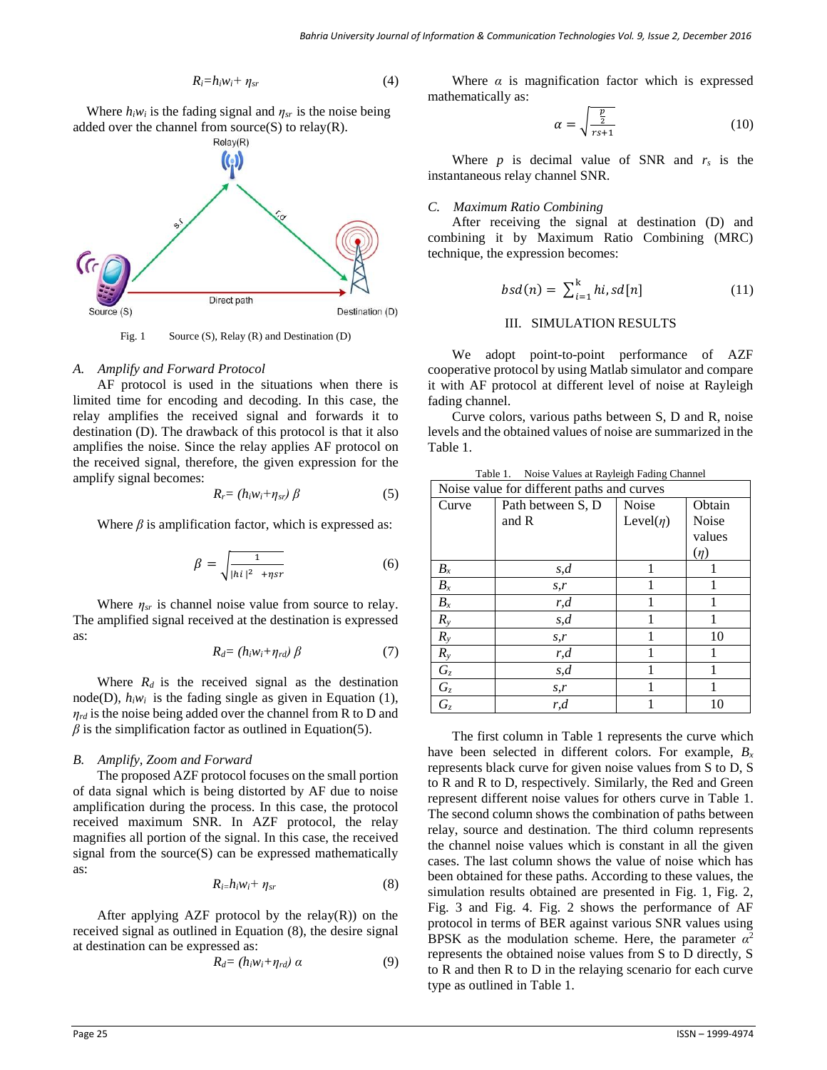$$
R_i = h_i w_i + \eta_{sr} \tag{4}
$$

Where  $h_i w_i$  is the fading signal and  $\eta_{sr}$  is the noise being added over the channel from source $(S)$  to relay $(R)$ .



Fig. 1 Source (S), Relay (R) and Destination (D)

### *A. Amplify and Forward Protocol*

AF protocol is used in the situations when there is limited time for encoding and decoding. In this case, the relay amplifies the received signal and forwards it to destination (D). The drawback of this protocol is that it also amplifies the noise. Since the relay applies AF protocol on the received signal, therefore, the given expression for the amplify signal becomes:

$$
R_r = (h_i w_i + \eta_{sr}) \beta \tag{5}
$$

Where  $\beta$  is amplification factor, which is expressed as:

$$
\beta = \sqrt{\frac{1}{|\hbar i|^2 + \eta sr}}\tag{6}
$$

Where *ηsr* is channel noise value from source to relay. The amplified signal received at the destination is expressed as:

$$
R_d = (h_i w_i + \eta_{rd}) \beta \tag{7}
$$

Where  $R_d$  is the received signal as the destination node(D),  $h_i w_i$  is the fading single as given in Equation (1), *ηrd* is the noise being added over the channel from R to D and  $\beta$  is the simplification factor as outlined in Equation(5).

## *B. Amplify, Zoom and Forward*

The proposed AZF protocol focuses on the small portion of data signal which is being distorted by AF due to noise amplification during the process. In this case, the protocol received maximum SNR. In AZF protocol, the relay magnifies all portion of the signal. In this case, the received signal from the source(S) can be expressed mathematically as:

$$
R_{i} = h_i w_i + \eta_{sr} \tag{8}
$$

After applying AZF protocol by the relay $(R)$  on the received signal as outlined in Equation (8), the desire signal at destination can be expressed as:

$$
R_d = (h_i w_i + \eta_{rd}) \alpha \tag{9}
$$

Where  $\alpha$  is magnification factor which is expressed mathematically as:

$$
\alpha = \sqrt{\frac{\frac{p}{2}}{rs+1}}\tag{10}
$$

Where  $p$  is decimal value of SNR and  $r_s$  is the instantaneous relay channel SNR.

### *C. Maximum Ratio Combining*

After receiving the signal at destination (D) and combining it by Maximum Ratio Combining (MRC) technique, the expression becomes:

$$
bsd(n) = \sum_{i=1}^{k} hi, sd[n] \tag{11}
$$

## III. SIMULATION RESULTS

We adopt point-to-point performance of AZF cooperative protocol by using Matlab simulator and compare it with AF protocol at different level of noise at Rayleigh fading channel.

Curve colors, various paths between S, D and R, noise levels and the obtained values of noise are summarized in the Table 1.

| Table 1. |  |  | Noise Values at Rayleigh Fading Channel |  |  |
|----------|--|--|-----------------------------------------|--|--|
|----------|--|--|-----------------------------------------|--|--|

| Noise value for different paths and curves |                   |                 |              |  |  |  |
|--------------------------------------------|-------------------|-----------------|--------------|--|--|--|
| Curve                                      | Path between S, D | <b>Noise</b>    | Obtain       |  |  |  |
|                                            | and R             | Level( $\eta$ ) | <b>Noise</b> |  |  |  |
|                                            |                   |                 | values       |  |  |  |
|                                            |                   |                 | (n)          |  |  |  |
| $B_x$                                      | s,d               |                 | 1            |  |  |  |
| $B_x$                                      | S, r              |                 |              |  |  |  |
| $\mathfrak{B}_x$                           | r, d              |                 |              |  |  |  |
| $R_{y}$                                    | s, d              | 1               | 1            |  |  |  |
| $R_{y}$                                    | S, r              | 1               | 10           |  |  |  |
| $R_{y}$                                    | r, d              |                 |              |  |  |  |
| $G_z$                                      | s,d               |                 |              |  |  |  |
| $G_z$                                      | S, r              |                 | 1            |  |  |  |
| $G_z$                                      | r, d              |                 | 10           |  |  |  |

The first column in Table 1 represents the curve which have been selected in different colors. For example, *B<sup>x</sup>* represents black curve for given noise values from S to D, S to R and R to D, respectively. Similarly, the Red and Green represent different noise values for others curve in Table 1. The second column shows the combination of paths between relay, source and destination. The third column represents the channel noise values which is constant in all the given cases. The last column shows the value of noise which has been obtained for these paths. According to these values, the simulation results obtained are presented in Fig. 1, Fig. 2, Fig. 3 and Fig. 4. Fig. 2 shows the performance of AF protocol in terms of BER against various SNR values using BPSK as the modulation scheme. Here, the parameter  $\alpha^2$ represents the obtained noise values from S to D directly, S to R and then R to D in the relaying scenario for each curve type as outlined in Table 1.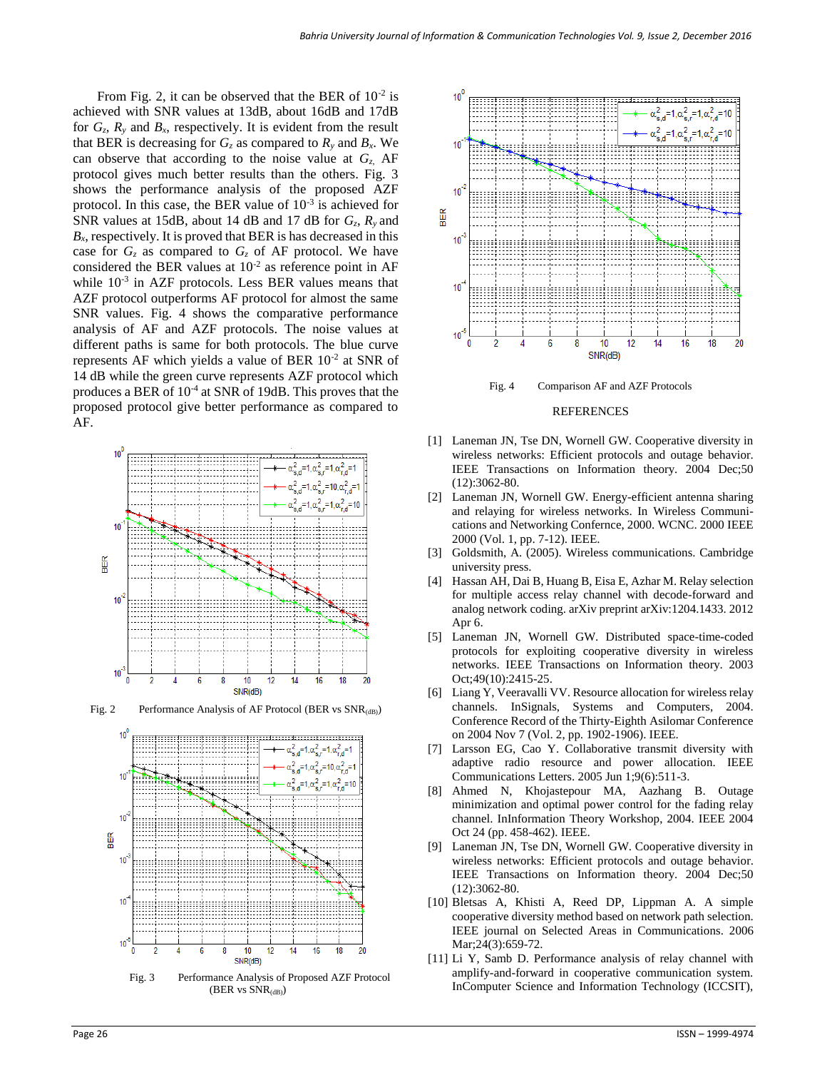From Fig. 2, it can be observed that the BER of  $10^{-2}$  is achieved with SNR values at 13dB, about 16dB and 17dB for  $G_z$ ,  $R_y$  and  $B_x$ , respectively. It is evident from the result that BER is decreasing for  $G_z$  as compared to  $R_y$  and  $B_x$ . We can observe that according to the noise value at *Gz*, AF protocol gives much better results than the others. Fig. 3 shows the performance analysis of the proposed AZF protocol. In this case, the BER value of  $10^{-3}$  is achieved for SNR values at 15dB, about 14 dB and 17 dB for *Gz*, *Ry* and  $B<sub>x</sub>$ , respectively. It is proved that BER is has decreased in this case for  $G_z$  as compared to  $G_z$  of AF protocol. We have considered the BER values at  $10^{-2}$  as reference point in AF while  $10^{-3}$  in AZF protocols. Less BER values means that AZF protocol outperforms AF protocol for almost the same SNR values. Fig. 4 shows the comparative performance analysis of AF and AZF protocols. The noise values at different paths is same for both protocols. The blue curve represents AF which yields a value of BER  $10^{-2}$  at SNR of 14 dB while the green curve represents AZF protocol which produces a BER of  $10^{-4}$  at SNR of 19dB. This proves that the proposed protocol give better performance as compared to AF.



Fig. 2 Performance Analysis of AF Protocol (BER vs  $SNR_{(dB)}$ )





Fig. 4 Comparison AF and AZF Protocols

#### REFERENCES

- [1] Laneman JN, Tse DN, Wornell GW. Cooperative diversity in wireless networks: Efficient protocols and outage behavior. IEEE Transactions on Information theory. 2004 Dec;50 (12):3062-80.
- [2] Laneman JN, Wornell GW. Energy-efficient antenna sharing and relaying for wireless networks. In Wireless Communications and Networking Confernce, 2000. WCNC. 2000 IEEE 2000 (Vol. 1, pp. 7-12). IEEE.
- [3] Goldsmith, A. (2005). Wireless communications. Cambridge university press.
- [4] Hassan AH, Dai B, Huang B, Eisa E, Azhar M. Relay selection for multiple access relay channel with decode-forward and analog network coding. arXiv preprint arXiv:1204.1433. 2012 Apr 6.
- [5] Laneman JN, Wornell GW. Distributed space-time-coded protocols for exploiting cooperative diversity in wireless networks. IEEE Transactions on Information theory. 2003 Oct;49(10):2415-25.
- [6] Liang Y, Veeravalli VV. Resource allocation for wireless relay channels. InSignals, Systems and Computers, 2004. Conference Record of the Thirty-Eighth Asilomar Conference on 2004 Nov 7 (Vol. 2, pp. 1902-1906). IEEE.
- [7] Larsson EG, Cao Y. Collaborative transmit diversity with adaptive radio resource and power allocation. IEEE Communications Letters. 2005 Jun 1;9(6):511-3.
- [8] Ahmed N, Khojastepour MA, Aazhang B. Outage minimization and optimal power control for the fading relay channel. InInformation Theory Workshop, 2004. IEEE 2004 Oct 24 (pp. 458-462). IEEE.
- [9] Laneman JN, Tse DN, Wornell GW. Cooperative diversity in wireless networks: Efficient protocols and outage behavior. IEEE Transactions on Information theory. 2004 Dec;50 (12):3062-80.
- [10] Bletsas A, Khisti A, Reed DP, Lippman A. A simple cooperative diversity method based on network path selection. IEEE journal on Selected Areas in Communications. 2006 Mar;24(3):659-72.
- [11] Li Y, Samb D. Performance analysis of relay channel with amplify-and-forward in cooperative communication system. InComputer Science and Information Technology (ICCSIT),